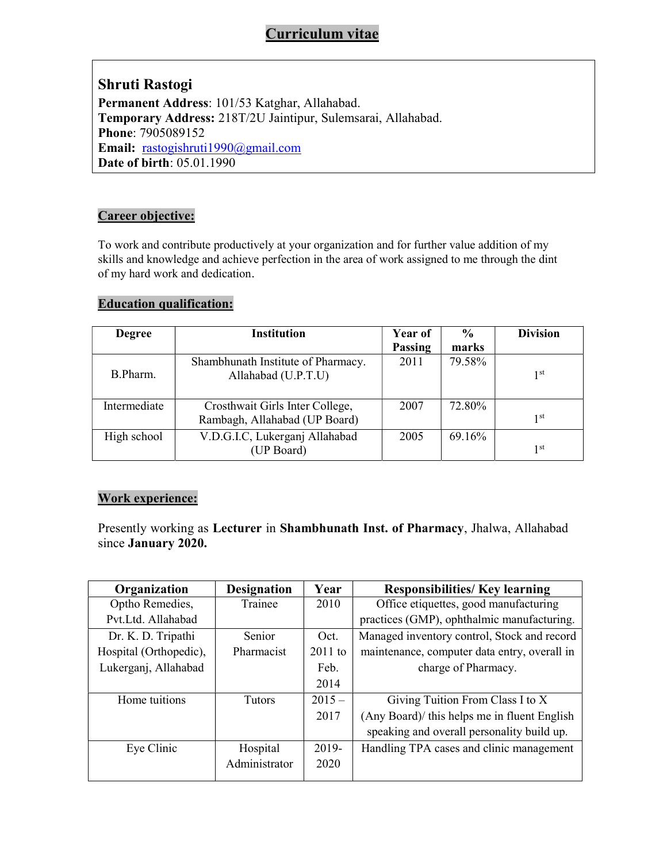# Curriculum vitae

Shruti Rastogi Permanent Address: 101/53 Katghar, Allahabad. Temporary Address: 218T/2U Jaintipur, Sulemsarai, Allahabad. Phone: 7905089152 Email: rastogishruti1990@gmail.com Date of birth: 05.01.1990

### Career objective:

To work and contribute productively at your organization and for further value addition of my skills and knowledge and achieve perfection in the area of work assigned to me through the dint of my hard work and dedication.

## Education qualification:

| <b>Degree</b> | <b>Institution</b>                 | Year of | $\frac{6}{9}$ | <b>Division</b> |
|---------------|------------------------------------|---------|---------------|-----------------|
|               |                                    | Passing | marks         |                 |
|               | Shambhunath Institute of Pharmacy. | 2011    | 79.58%        |                 |
| B.Pharm.      | Allahabad (U.P.T.U)                |         |               | 1 <sup>st</sup> |
|               |                                    |         |               |                 |
| Intermediate  | Crosthwait Girls Inter College,    | 2007    | 72.80%        |                 |
|               | Rambagh, Allahabad (UP Board)      |         |               | 1 <sup>st</sup> |
| High school   | V.D.G.I.C, Lukerganj Allahabad     | 2005    | 69.16%        |                 |
|               | (UP Board)                         |         |               | 1 <sup>st</sup> |

## Work experience:

Presently working as Lecturer in Shambhunath Inst. of Pharmacy, Jhalwa, Allahabad since January 2020.

| Organization           | <b>Designation</b> | Year      | <b>Responsibilities/ Key learning</b>        |
|------------------------|--------------------|-----------|----------------------------------------------|
| Optho Remedies,        | Trainee            | 2010      | Office etiquettes, good manufacturing        |
| Pvt.Ltd. Allahabad     |                    |           | practices (GMP), ophthalmic manufacturing.   |
| Dr. K. D. Tripathi     | Senior             | Oct.      | Managed inventory control, Stock and record  |
| Hospital (Orthopedic), | Pharmacist         | $2011$ to | maintenance, computer data entry, overall in |
| Lukerganj, Allahabad   |                    | Feb.      | charge of Pharmacy.                          |
|                        |                    | 2014      |                                              |
| Home tuitions          | <b>Tutors</b>      | $2015-$   | Giving Tuition From Class I to X             |
|                        |                    | 2017      | (Any Board)/ this helps me in fluent English |
|                        |                    |           | speaking and overall personality build up.   |
| Eye Clinic             | Hospital           | 2019-     | Handling TPA cases and clinic management     |
|                        | Administrator      | 2020      |                                              |
|                        |                    |           |                                              |